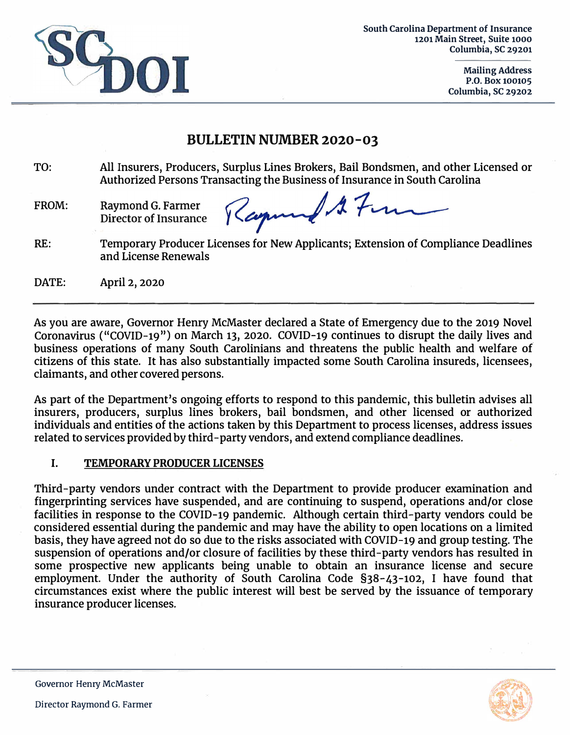

**South Carolina Department of Insurance 1201 Main Street, Suite 1000 Columbia, SC 29201**

> **Mailing Address P.O. Box 100105 Columbia, SC 29202**

# **BULLETIN NUMBER 2020-03**

- TO: All Insurers, Producers, Surplus Lines Brokers, Bail Bondsmen, and other Licensed or Authorized Persons Transacting the Business of Insurance in South Carolina
- FROM: Raymond G. Farmer Director of Insurance

 $117m$ Kapin

RE: Temporary Producer Licenses for New Applicants; Extension of Compliance Deadlines and License Renewals

DATE: April 2, 2020

As you are aware, Governor Henry McMaster declared a State of Emergency due to the 2019 Novel Coronavirus ("COVID-19 » ) on March 131 2020. COVID-19 continues to disrupt the daily lives and business operations of many South Carolinians and threatens the public health and welfare *of* citizens of this state. It has also substantially impacted some South Carolina insureds, licensees, claimants, and other covered persons.

As part of the Department's ongoing efforts to respond to this pandemic, this bulletin advises all insurers, producers, surplus lines brokers, bail bondsmen, and other licensed or authorized individuals and entities of the actions taken by this Department to process licenses, address issues related to services provided by third-party vendors, and extend compliance deadlines.

## **I. TEMPORARY PRODUCER LICENSES**

Third-party vendors under contract with the Department to provide producer examination and fingerprinting services have suspended, and are continuing to suspend, operations and/or close facilities in response to the COVID-19 pandemic. Although certain third-party vendors could be considered essential during the pandemic and may have the ability to open locations on a limited basis, they have agreed not do so due to the risks associated with COVID-19 and group testing. The suspension of operations and/or closure of facilities by these third-party vendors has resulted in some prospective new applicants being unable to obtain an insurance license and secure employment. Under the authority of South Carolina Code §38-43-102, I have found that circumstances exist where the public interest will best be served by the issuance of temporary insurance producer licenses.

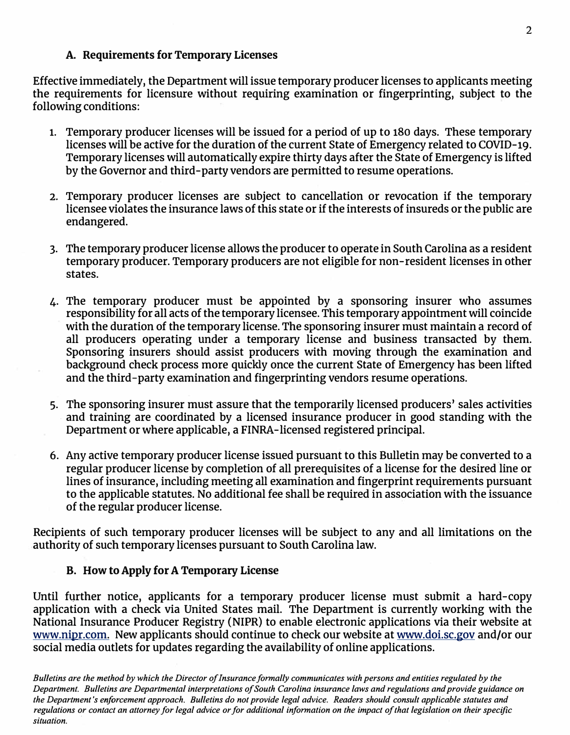### **A. Requirements for Temporary Licenses**

Effective immediately, the Department will issue temporary producer licenses to applicants meeting the requirements for licensure without requiring examination or fingerprinting, subject to the following conditions:

- **1.** Temporary producer licenses will be issued for a period of up to 180 days. These temporary licenses will be active for the duration of the current State of Emergency related to COVID-19. Temporary licenses will automatically expire thirty days after the State of Emergency is lifted by the Governor and third-party vendors are permitted to resume operations.
- 2. Temporary producer licenses are subject to cancellation or revocation if the temporary licensee violates the insurance laws of this state or if the interests of insureds or the public are endangered.
- 3. The temporary producer license allows the producer to operate in South Carolina as a resident temporary producer. Temporary producers are not eligible for non-resident licenses in other states.
- 4. The temporary producer must be appointed by a sponsoring insurer who assumes responsibility for all acts of the temporary licensee. This temporary appointment will coincide with the duration of the temporary license. The sponsoring insurer must maintain a record of all producers operating under a temporary license and business transacted by them. Sponsoring insurers should assist producers with moving through the examination and background check process more quickly once the current State of Emergency has been lifted and the third-party examination and fingerprinting vendors resume operations.
- 5. The sponsoring insurer must assure that the temporarily licensed producers' sales activities . and training are coordinated by a licensed insurance producer in good standing with the Department or where applicable, a FINRA-licensed registered principal.
- 6. Any active temporary producer license issued pursuant to this Bulletin may be converted to a regular producer license by completion of all prerequisites of a license for the desired line or lines of insurance, including meeting all examination and fingerprint requirements pursuant to the applicable statutes. No additional fee shall be required in association with the issuance of the regular producer license.

Recipients of such temporary producer licenses will be subject to any and all limitations on the authority of such temporary licenses pursuant to South Carolina law.

## **B. How to Apply for A Temporary License**

Until further notice, applicants for a temporary producer license must submit a hard-copy application with a check via United States mail. The Department is currently working with the National Insurance Producer Registry (NIPR) to enable electronic applications via their website at [www.nipr.com.](https://nipr.com/) New applicants should continue to check our website at [www.doi.sc.gov](https://www.doi.sc.gov/) and/or our social media outlets for updates regarding the availability of online applications.

*Bulletins are the method by which the Director of Insurance formally communicates with persons and entities regulated by the Department. Bulletins are Departmental interpretations of South Carolina insurance laws and regulations and provide guidance on the Department's enforcement approach. Bulletins do not provide legal advice. Readers should consult applicable statutes and regulations or contact an attorney for legal advice or for additional information on the impact of that legislation on their specific situation.*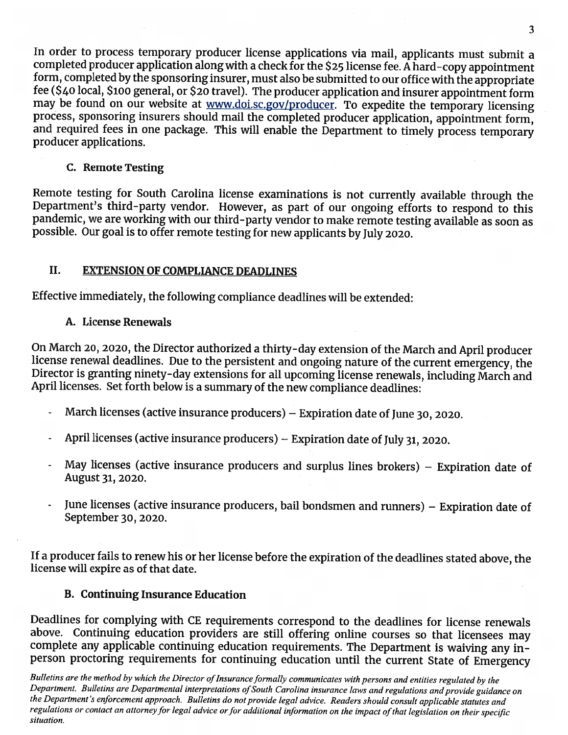In order to process temporary producer license applications via mail, applicants must submit a completed producer application along with a check for the \$25 license fee. A hard-copy appointment form, completed by the sponsoring insurer, must also be submitted to our office with the appropriate fee (\$40 local, \$100 general, or \$20 travel). The producer application and insurer appointment form may be found on our website at www.doi.sc.gov/producer. To expedite the temporary licensing process, sponsoring insurers should mail the completed producer application, appointment form, and required fees in one package. This will enable the Department to timely process temporary producer applications.

### C. Remote Testing

Remote testing for South Carolina license examinations is not currently available through the Department's third-party vendor. However, as part of our ongoing efforts to respond to this pandemic, we are working with our third-party vendor to make remote testing available as soon as possible. Our goal is to offer remote testing for new applicants by July 2020.

#### II. **EXTENSION OF COMPLIANCE DEADLINES**

Effective immediately, the following compliance deadlines will be extended:

### A. License Renewals

On March 20, 2020, the Director authorized a thirty-day extension of the March and April producer license renewal deadlines. Due to the persistent and ongoing nature of the current emergency, the Director is granting ninety-day extensions for all upcoming license renewals, including March and April licenses. Set forth below is a summary of the new compliance deadlines:

- March licenses (active insurance producers) Expiration date of June 30, 2020.  $\ddot{\phantom{0}}$
- April licenses (active insurance producers) Expiration date of July 31, 2020.  $\overline{a}$
- May licenses (active insurance producers and surplus lines brokers)  $-$  Expiration date of August 31, 2020.
- June licenses (active insurance producers, bail bondsmen and runners) Expiration date of September 30, 2020.

If a producer fails to renew his or her license before the expiration of the deadlines stated above, the license will expire as of that date.

## **B. Continuing Insurance Education**

Deadlines for complying with CE requirements correspond to the deadlines for license renewals above. Continuing education providers are still offering online courses so that licensees may complete any applicable continuing education requirements. The Department is waiving any inperson proctoring requirements for continuing education until the current State of Emergency

Bulletins are the method by which the Director of Insurance formally communicates with persons and entities regulated by the Department. Bulletins are Departmental interpretations of South Carolina insurance laws and regulations and provide guidance on the Department's enforcement approach. Bulletins do not provide legal advice. Readers should consult applicable statutes and regulations or contact an attorney for legal advice or for additional information on the impact of that legislation on their specific situation.